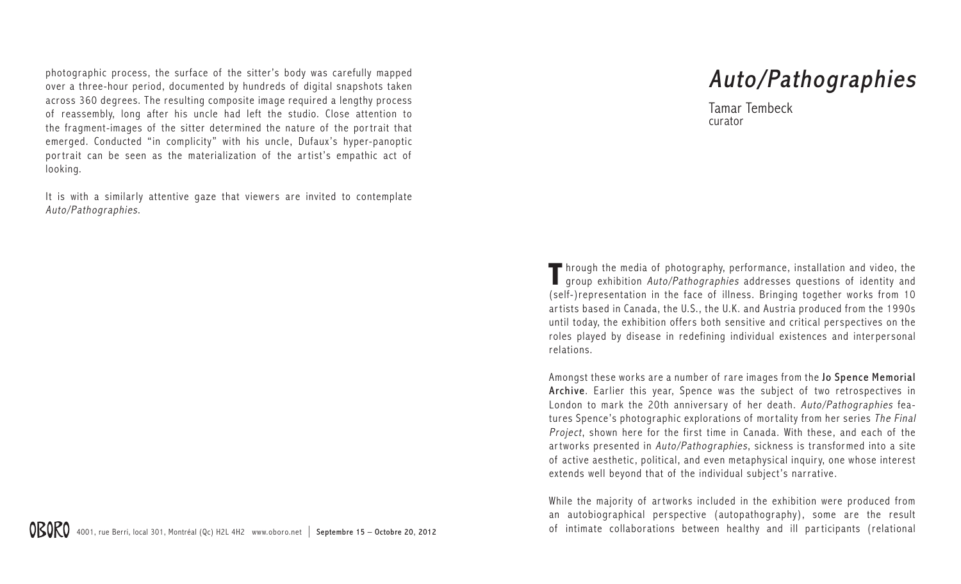photographic process, the surface of the sitter's body was carefully mapped over a three-hour period, documented by hundreds of digital snapshots taken across 360 degrees. The resulting composite image required a lengthy process of reassembly, long after his uncle had left the studio. Close attention to the fragment-images of the sitter determined the nature of the portrait that emerged. Conducted "in complicity" with his uncle, Dufaux's hyper-panoptic portrait can be seen as the materialization of the artist's empathic act of looking.

It is with a similarly attentive gaze that viewers are invited to contemplate Auto/Pathographies.

## Auto/Pathographies

Tamar Tembeck curator

**T**hrough the media of photography, perfor mance, installation and video, the **I** group exhibition Auto/Pathographies addresses questions of identity and (self-)representation in the face of illness. Bringing together works from 10 ar tists based in Canada, the U.S., the U.K. and Austria produced from the 1990s until today, the exhibition offers both sensitive and critical perspectives on the roles played by disease in redefining individual existences and interpersonal relations.

Amongst these works are a number of rare images from the Jo Spence Memorial Archive. Earlier this year, Spence was the subject of two retrospectives in London to mark the 20th anniversary of her death. Auto/Pathographies features Spence's photographic explorations of mortality from her series The Final Project, shown here for the first time in Canada. With these, and each of the artworks presented in Auto/Pathographies, sickness is transfor med into a site of active aesthetic, political, and even metaphysical inquir y, one whose interest extends well beyond that of the individual subject's narrative.

While the majority of artworks included in the exhibition were produced from an autobiographical perspective (autopathography), some are the result of intimate collaborations between healthy and ill par ticipants (relational